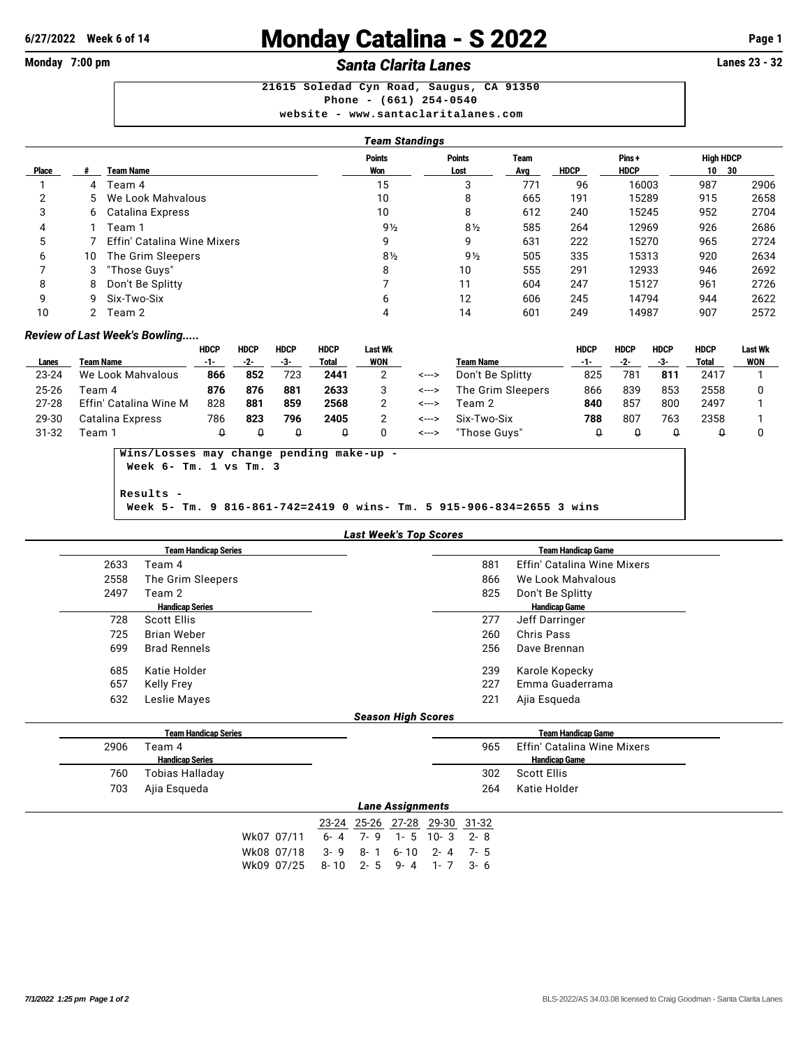# **6/27/2022 Week 6 of 14** Monday Catalina - S 2022 **Page 1**

## **Monday 7:00 pm** *Santa Clarita Lanes* **Lanes 23 - 32**

**21615 Soledad Cyn Road, Saugus, CA 91350 Phone - (661) 254-0540 website - <www.santaclaritalanes.com>**

|       |    |                                    | Team Standings |                |      |             |             |                  |      |
|-------|----|------------------------------------|----------------|----------------|------|-------------|-------------|------------------|------|
|       |    |                                    | <b>Points</b>  | <b>Points</b>  | Team |             | Pins+       | <b>High HDCP</b> |      |
| Place |    | <b>Team Name</b>                   | Won            | Lost           | Avg  | <b>HDCP</b> | <b>HDCP</b> | 10<br>- 30       |      |
|       | 4  | Team 4                             | 15             | 3              | 771  | 96          | 16003       | 987              | 2906 |
| າ     |    | 5 We Look Mahvalous                | 10             | 8              | 665  | 191         | 15289       | 915              | 2658 |
| 3     |    | 6 Catalina Express                 | 10             | 8              | 612  | 240         | 15245       | 952              | 2704 |
| 4     |    | Team 1                             | $9\frac{1}{2}$ | $8\frac{1}{2}$ | 585  | 264         | 12969       | 926              | 2686 |
| 5     |    | <b>Effin' Catalina Wine Mixers</b> | 9              | 9              | 631  | 222         | 15270       | 965              | 2724 |
| 6     | 10 | The Grim Sleepers                  | $8\frac{1}{2}$ | $9\frac{1}{2}$ | 505  | 335         | 15313       | 920              | 2634 |
|       |    | 3 "Those Guys"                     | 8              | 10             | 555  | 291         | 12933       | 946              | 2692 |
| 8     | 8  | Don't Be Splitty                   |                | 11             | 604  | 247         | 15127       | 961              | 2726 |
| 9     | 9  | Six-Two-Six                        | 6              | 12             | 606  | 245         | 14794       | 944              | 2622 |
| 10    | 2  | Team 2                             | 4              | 14             | 601  | 249         | 14987       | 907              | 2572 |

### *Review of Last Week's Bowling.....*

|           |                        | HDCP | <b>HDCP</b> | <b>HDCP</b> | <b>HDCP</b> | Last Wk |       |                   | HDCP | <b>HDCP</b> | <b>HDCP</b> | <b>HDCP</b>  | Last Wk |
|-----------|------------------------|------|-------------|-------------|-------------|---------|-------|-------------------|------|-------------|-------------|--------------|---------|
| Lanes     | <b>Team Name</b>       | -1-  | -2-         | -3-         | Total       | WON     |       | <b>Team Name</b>  | -1-  | -2-         |             | <b>Total</b> | WON     |
| 23-24     | We Look Mahvalous      | 866  | 852         | 723         | 2441        |         | <---> | Don't Be Splitty  | 825  | 781         | 811         | 2417         |         |
| $25 - 26$ | Геаm 4                 | 876  | 876         | 881         | 2633        |         | <---> | The Grim Sleepers | 866  | 839         | 853         | 2558         |         |
| $27 - 28$ | Effin' Catalina Wine M | 828  | 881         | 859         | 2568        |         | <---> | Геаm 2            | 840  | 857         | 800         | 2497         |         |
| 29-30     | Catalina Express       | 786  | 823         | 796         | 2405        |         | <---> | Six-Two-Six       | 788  | 807         | 763         | 2358         |         |
| 31-32     | Геаm 1                 |      |             |             |             |         | <---> | "Those Guvs"      |      |             |             |              |         |

**Wins/Losses may change pending make-up - Week 6- Tm. 1 vs Tm. 3**

**Results - Week 5- Tm. 9 816-861-742=2419 0 wins- Tm. 5 915-906-834=2655 3 wins**

|      | <b>Team Handicap Series</b> |                           | <b>Team Handicap Game</b>          |  |
|------|-----------------------------|---------------------------|------------------------------------|--|
| 2633 | Team 4                      | 881                       | <b>Effin' Catalina Wine Mixers</b> |  |
| 2558 | The Grim Sleepers           | 866                       | We Look Mahvalous                  |  |
| 2497 | Team 2                      | 825                       | Don't Be Splitty                   |  |
|      | <b>Handicap Series</b>      |                           | <b>Handicap Game</b>               |  |
| 728  | Scott Ellis                 | 277                       | Jeff Darringer                     |  |
| 725  | <b>Brian Weber</b>          | 260                       | Chris Pass                         |  |
| 699  | <b>Brad Rennels</b>         | 256                       | Dave Brennan                       |  |
| 685  | Katie Holder                | 239                       | Karole Kopecky                     |  |
| 657  | <b>Kelly Frey</b>           | 227                       | Emma Guaderrama                    |  |
| 632  | Leslie Mayes                | 221                       | Ajia Esqueda                       |  |
|      |                             | <b>Season High Scores</b> |                                    |  |
|      | <b>Team Handicap Series</b> |                           | <b>Team Handicap Game</b>          |  |
| 2906 | Team 4                      | 965                       | <b>Effin' Catalina Wine Mixers</b> |  |
|      | <b>Handicap Series</b>      |                           | <b>Handicap Game</b>               |  |
| 760  | Tobias Halladay             | 302                       | <b>Scott Ellis</b>                 |  |
| 703  | Ajia Esqueda                | 264                       | Katie Holder                       |  |
|      |                             | <b>Lane Assignments</b>   |                                    |  |

Wk07 07/11 6- 4 7- 9 1- 5 10- 3 2- 8 Wk08 07/18 3- 9 8- 1 6- 10 2- 4 7- 5 Wk09 07/25 8- 10 2- 5 9- 4 1- 7 3- 6